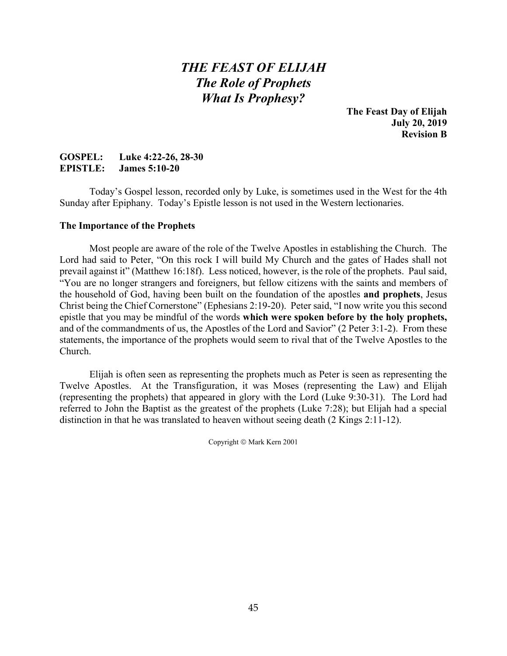# *THE FEAST OF ELIJAH The Role of Prophets What Is Prophesy?*

**The Feast Day of Elijah July 20, 2019 Revision B**

### **GOSPEL: Luke 4:22-26, 28-30 EPISTLE: James 5:10-20**

Today's Gospel lesson, recorded only by Luke, is sometimes used in the West for the 4th Sunday after Epiphany. Today's Epistle lesson is not used in the Western lectionaries.

#### **The Importance of the Prophets**

Most people are aware of the role of the Twelve Apostles in establishing the Church. The Lord had said to Peter, "On this rock I will build My Church and the gates of Hades shall not prevail against it" (Matthew 16:18f). Less noticed, however, is the role of the prophets. Paul said, "You are no longer strangers and foreigners, but fellow citizens with the saints and members of the household of God, having been built on the foundation of the apostles **and prophets**, Jesus Christ being the Chief Cornerstone" (Ephesians 2:19-20). Peter said, "I now write you this second epistle that you may be mindful of the words **which were spoken before by the holy prophets,** and of the commandments of us, the Apostles of the Lord and Savior" (2 Peter 3:1-2). From these statements, the importance of the prophets would seem to rival that of the Twelve Apostles to the Church.

Elijah is often seen as representing the prophets much as Peter is seen as representing the Twelve Apostles. At the Transfiguration, it was Moses (representing the Law) and Elijah (representing the prophets) that appeared in glory with the Lord (Luke 9:30-31). The Lord had referred to John the Baptist as the greatest of the prophets (Luke 7:28); but Elijah had a special distinction in that he was translated to heaven without seeing death (2 Kings 2:11-12).

Copyright © Mark Kern 2001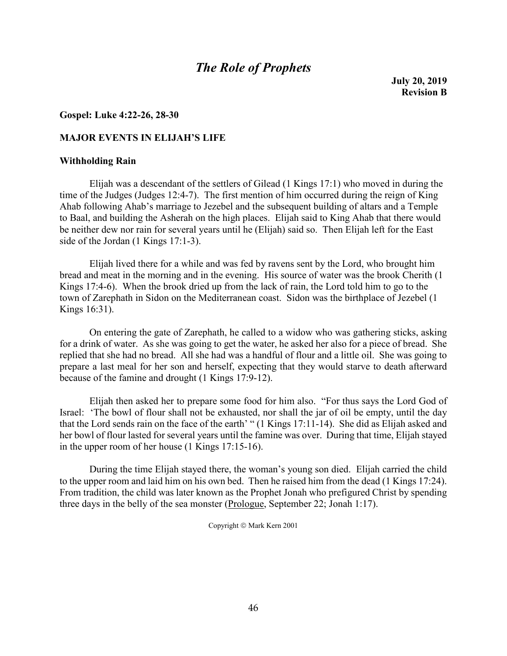### *The Role of Prophets*

**July 20, 2019 Revision B**

#### **Gospel: Luke 4:22-26, 28-30**

#### **MAJOR EVENTS IN ELIJAH'S LIFE**

#### **Withholding Rain**

Elijah was a descendant of the settlers of Gilead (1 Kings 17:1) who moved in during the time of the Judges (Judges 12:4-7). The first mention of him occurred during the reign of King Ahab following Ahab's marriage to Jezebel and the subsequent building of altars and a Temple to Baal, and building the Asherah on the high places. Elijah said to King Ahab that there would be neither dew nor rain for several years until he (Elijah) said so. Then Elijah left for the East side of the Jordan (1 Kings 17:1-3).

Elijah lived there for a while and was fed by ravens sent by the Lord, who brought him bread and meat in the morning and in the evening. His source of water was the brook Cherith (1 Kings 17:4-6). When the brook dried up from the lack of rain, the Lord told him to go to the town of Zarephath in Sidon on the Mediterranean coast. Sidon was the birthplace of Jezebel (1 Kings 16:31).

On entering the gate of Zarephath, he called to a widow who was gathering sticks, asking for a drink of water. As she was going to get the water, he asked her also for a piece of bread. She replied that she had no bread. All she had was a handful of flour and a little oil. She was going to prepare a last meal for her son and herself, expecting that they would starve to death afterward because of the famine and drought (1 Kings 17:9-12).

Elijah then asked her to prepare some food for him also. "For thus says the Lord God of Israel: 'The bowl of flour shall not be exhausted, nor shall the jar of oil be empty, until the day that the Lord sends rain on the face of the earth' " (1 Kings 17:11-14). She did as Elijah asked and her bowl of flour lasted for several years until the famine was over. During that time, Elijah stayed in the upper room of her house (1 Kings 17:15-16).

During the time Elijah stayed there, the woman's young son died. Elijah carried the child to the upper room and laid him on his own bed. Then he raised him from the dead (1 Kings 17:24). From tradition, the child was later known as the Prophet Jonah who prefigured Christ by spending three days in the belly of the sea monster (Prologue, September 22; Jonah 1:17).

Copyright © Mark Kern 2001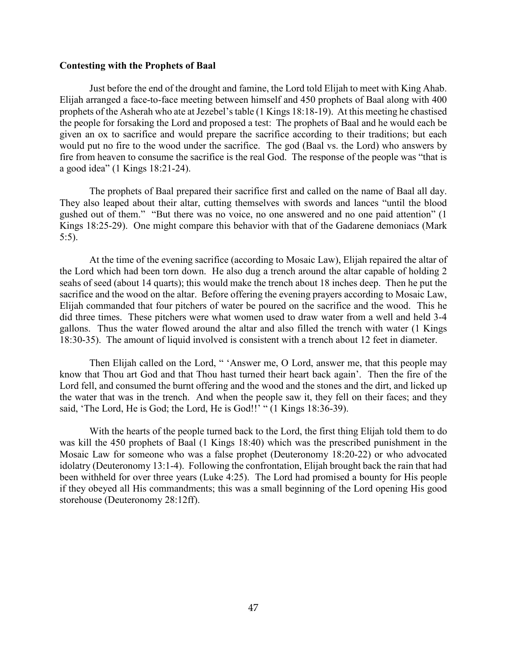#### **Contesting with the Prophets of Baal**

Just before the end of the drought and famine, the Lord told Elijah to meet with King Ahab. Elijah arranged a face-to-face meeting between himself and 450 prophets of Baal along with 400 prophets of the Asherah who ate at Jezebel's table (1 Kings 18:18-19). At this meeting he chastised the people for forsaking the Lord and proposed a test: The prophets of Baal and he would each be given an ox to sacrifice and would prepare the sacrifice according to their traditions; but each would put no fire to the wood under the sacrifice. The god (Baal vs. the Lord) who answers by fire from heaven to consume the sacrifice is the real God. The response of the people was "that is a good idea" (1 Kings 18:21-24).

The prophets of Baal prepared their sacrifice first and called on the name of Baal all day. They also leaped about their altar, cutting themselves with swords and lances "until the blood gushed out of them." "But there was no voice, no one answered and no one paid attention" (1 Kings 18:25-29). One might compare this behavior with that of the Gadarene demoniacs (Mark 5:5).

At the time of the evening sacrifice (according to Mosaic Law), Elijah repaired the altar of the Lord which had been torn down. He also dug a trench around the altar capable of holding 2 seahs of seed (about 14 quarts); this would make the trench about 18 inches deep. Then he put the sacrifice and the wood on the altar. Before offering the evening prayers according to Mosaic Law, Elijah commanded that four pitchers of water be poured on the sacrifice and the wood. This he did three times. These pitchers were what women used to draw water from a well and held 3-4 gallons. Thus the water flowed around the altar and also filled the trench with water (1 Kings 18:30-35). The amount of liquid involved is consistent with a trench about 12 feet in diameter.

Then Elijah called on the Lord, " 'Answer me, O Lord, answer me, that this people may know that Thou art God and that Thou hast turned their heart back again'. Then the fire of the Lord fell, and consumed the burnt offering and the wood and the stones and the dirt, and licked up the water that was in the trench. And when the people saw it, they fell on their faces; and they said, 'The Lord, He is God; the Lord, He is God!!' " (1 Kings 18:36-39).

With the hearts of the people turned back to the Lord, the first thing Elijah told them to do was kill the 450 prophets of Baal (1 Kings 18:40) which was the prescribed punishment in the Mosaic Law for someone who was a false prophet (Deuteronomy 18:20-22) or who advocated idolatry (Deuteronomy 13:1-4). Following the confrontation, Elijah brought back the rain that had been withheld for over three years (Luke 4:25). The Lord had promised a bounty for His people if they obeyed all His commandments; this was a small beginning of the Lord opening His good storehouse (Deuteronomy 28:12ff).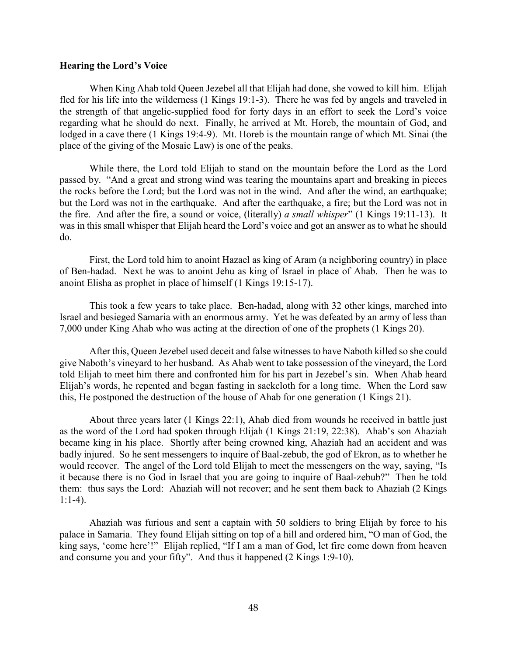#### **Hearing the Lord's Voice**

When King Ahab told Queen Jezebel all that Elijah had done, she vowed to kill him. Elijah fled for his life into the wilderness (1 Kings 19:1-3). There he was fed by angels and traveled in the strength of that angelic-supplied food for forty days in an effort to seek the Lord's voice regarding what he should do next. Finally, he arrived at Mt. Horeb, the mountain of God, and lodged in a cave there (1 Kings 19:4-9). Mt. Horeb is the mountain range of which Mt. Sinai (the place of the giving of the Mosaic Law) is one of the peaks.

While there, the Lord told Elijah to stand on the mountain before the Lord as the Lord passed by. "And a great and strong wind was tearing the mountains apart and breaking in pieces the rocks before the Lord; but the Lord was not in the wind. And after the wind, an earthquake; but the Lord was not in the earthquake. And after the earthquake, a fire; but the Lord was not in the fire. And after the fire, a sound or voice, (literally) *a small whisper*" (1 Kings 19:11-13). It was in this small whisper that Elijah heard the Lord's voice and got an answer as to what he should do.

First, the Lord told him to anoint Hazael as king of Aram (a neighboring country) in place of Ben-hadad. Next he was to anoint Jehu as king of Israel in place of Ahab. Then he was to anoint Elisha as prophet in place of himself (1 Kings 19:15-17).

This took a few years to take place. Ben-hadad, along with 32 other kings, marched into Israel and besieged Samaria with an enormous army. Yet he was defeated by an army of less than 7,000 under King Ahab who was acting at the direction of one of the prophets (1 Kings 20).

After this, Queen Jezebel used deceit and false witnesses to have Naboth killed so she could give Naboth's vineyard to her husband. As Ahab went to take possession of the vineyard, the Lord told Elijah to meet him there and confronted him for his part in Jezebel's sin. When Ahab heard Elijah's words, he repented and began fasting in sackcloth for a long time. When the Lord saw this, He postponed the destruction of the house of Ahab for one generation (1 Kings 21).

About three years later (1 Kings 22:1), Ahab died from wounds he received in battle just as the word of the Lord had spoken through Elijah (1 Kings 21:19, 22:38). Ahab's son Ahaziah became king in his place. Shortly after being crowned king, Ahaziah had an accident and was badly injured. So he sent messengers to inquire of Baal-zebub, the god of Ekron, as to whether he would recover. The angel of the Lord told Elijah to meet the messengers on the way, saying, "Is it because there is no God in Israel that you are going to inquire of Baal-zebub?" Then he told them: thus says the Lord: Ahaziah will not recover; and he sent them back to Ahaziah (2 Kings  $1:1-4$ ).

Ahaziah was furious and sent a captain with 50 soldiers to bring Elijah by force to his palace in Samaria. They found Elijah sitting on top of a hill and ordered him, "O man of God, the king says, 'come here'!" Elijah replied, "If I am a man of God, let fire come down from heaven and consume you and your fifty". And thus it happened (2 Kings 1:9-10).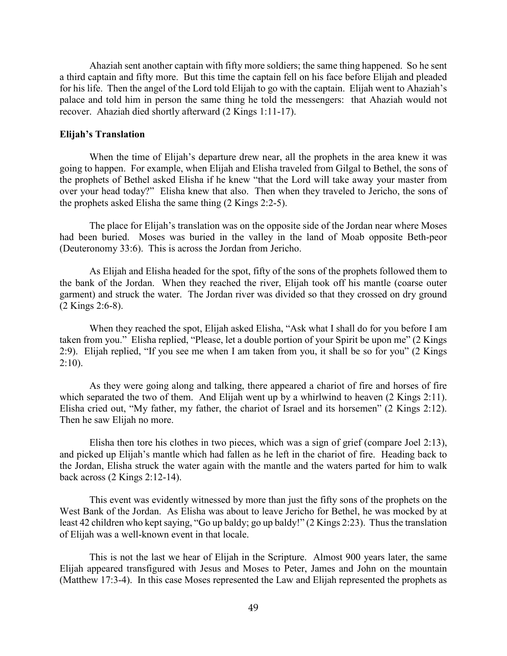Ahaziah sent another captain with fifty more soldiers; the same thing happened. So he sent a third captain and fifty more. But this time the captain fell on his face before Elijah and pleaded for his life. Then the angel of the Lord told Elijah to go with the captain. Elijah went to Ahaziah's palace and told him in person the same thing he told the messengers: that Ahaziah would not recover. Ahaziah died shortly afterward (2 Kings 1:11-17).

#### **Elijah's Translation**

When the time of Elijah's departure drew near, all the prophets in the area knew it was going to happen. For example, when Elijah and Elisha traveled from Gilgal to Bethel, the sons of the prophets of Bethel asked Elisha if he knew "that the Lord will take away your master from over your head today?" Elisha knew that also. Then when they traveled to Jericho, the sons of the prophets asked Elisha the same thing (2 Kings 2:2-5).

The place for Elijah's translation was on the opposite side of the Jordan near where Moses had been buried. Moses was buried in the valley in the land of Moab opposite Beth-peor (Deuteronomy 33:6). This is across the Jordan from Jericho.

As Elijah and Elisha headed for the spot, fifty of the sons of the prophets followed them to the bank of the Jordan. When they reached the river, Elijah took off his mantle (coarse outer garment) and struck the water. The Jordan river was divided so that they crossed on dry ground (2 Kings 2:6-8).

When they reached the spot, Elijah asked Elisha, "Ask what I shall do for you before I am taken from you." Elisha replied, "Please, let a double portion of your Spirit be upon me" (2 Kings 2:9). Elijah replied, "If you see me when I am taken from you, it shall be so for you" (2 Kings  $2:10$ ).

As they were going along and talking, there appeared a chariot of fire and horses of fire which separated the two of them. And Elijah went up by a whirlwind to heaven  $(2 \text{ Kings } 2:11)$ . Elisha cried out, "My father, my father, the chariot of Israel and its horsemen" (2 Kings 2:12). Then he saw Elijah no more.

Elisha then tore his clothes in two pieces, which was a sign of grief (compare Joel 2:13), and picked up Elijah's mantle which had fallen as he left in the chariot of fire. Heading back to the Jordan, Elisha struck the water again with the mantle and the waters parted for him to walk back across (2 Kings 2:12-14).

This event was evidently witnessed by more than just the fifty sons of the prophets on the West Bank of the Jordan. As Elisha was about to leave Jericho for Bethel, he was mocked by at least 42 children who kept saying, "Go up baldy; go up baldy!" (2 Kings 2:23). Thus the translation of Elijah was a well-known event in that locale.

This is not the last we hear of Elijah in the Scripture. Almost 900 years later, the same Elijah appeared transfigured with Jesus and Moses to Peter, James and John on the mountain (Matthew 17:3-4). In this case Moses represented the Law and Elijah represented the prophets as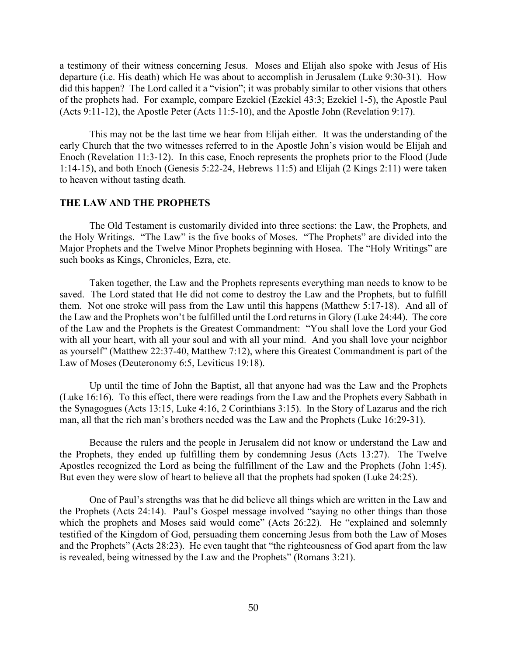a testimony of their witness concerning Jesus. Moses and Elijah also spoke with Jesus of His departure (i.e. His death) which He was about to accomplish in Jerusalem (Luke 9:30-31). How did this happen? The Lord called it a "vision"; it was probably similar to other visions that others of the prophets had. For example, compare Ezekiel (Ezekiel 43:3; Ezekiel 1-5), the Apostle Paul (Acts 9:11-12), the Apostle Peter (Acts 11:5-10), and the Apostle John (Revelation 9:17).

This may not be the last time we hear from Elijah either. It was the understanding of the early Church that the two witnesses referred to in the Apostle John's vision would be Elijah and Enoch (Revelation 11:3-12). In this case, Enoch represents the prophets prior to the Flood (Jude 1:14-15), and both Enoch (Genesis 5:22-24, Hebrews 11:5) and Elijah (2 Kings 2:11) were taken to heaven without tasting death.

#### **THE LAW AND THE PROPHETS**

The Old Testament is customarily divided into three sections: the Law, the Prophets, and the Holy Writings. "The Law" is the five books of Moses. "The Prophets" are divided into the Major Prophets and the Twelve Minor Prophets beginning with Hosea. The "Holy Writings" are such books as Kings, Chronicles, Ezra, etc.

Taken together, the Law and the Prophets represents everything man needs to know to be saved. The Lord stated that He did not come to destroy the Law and the Prophets, but to fulfill them. Not one stroke will pass from the Law until this happens (Matthew 5:17-18). And all of the Law and the Prophets won't be fulfilled until the Lord returns in Glory (Luke 24:44). The core of the Law and the Prophets is the Greatest Commandment: "You shall love the Lord your God with all your heart, with all your soul and with all your mind. And you shall love your neighbor as yourself" (Matthew 22:37-40, Matthew 7:12), where this Greatest Commandment is part of the Law of Moses (Deuteronomy 6:5, Leviticus 19:18).

Up until the time of John the Baptist, all that anyone had was the Law and the Prophets (Luke 16:16). To this effect, there were readings from the Law and the Prophets every Sabbath in the Synagogues (Acts 13:15, Luke 4:16, 2 Corinthians 3:15). In the Story of Lazarus and the rich man, all that the rich man's brothers needed was the Law and the Prophets (Luke 16:29-31).

Because the rulers and the people in Jerusalem did not know or understand the Law and the Prophets, they ended up fulfilling them by condemning Jesus (Acts 13:27). The Twelve Apostles recognized the Lord as being the fulfillment of the Law and the Prophets (John 1:45). But even they were slow of heart to believe all that the prophets had spoken (Luke 24:25).

One of Paul's strengths was that he did believe all things which are written in the Law and the Prophets (Acts 24:14). Paul's Gospel message involved "saying no other things than those which the prophets and Moses said would come" (Acts 26:22). He "explained and solemnly testified of the Kingdom of God, persuading them concerning Jesus from both the Law of Moses and the Prophets" (Acts 28:23). He even taught that "the righteousness of God apart from the law is revealed, being witnessed by the Law and the Prophets" (Romans 3:21).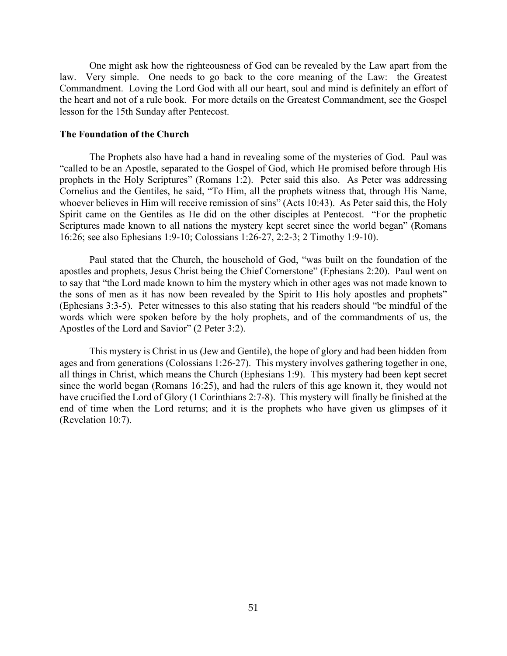One might ask how the righteousness of God can be revealed by the Law apart from the law. Very simple. One needs to go back to the core meaning of the Law: the Greatest Commandment. Loving the Lord God with all our heart, soul and mind is definitely an effort of the heart and not of a rule book. For more details on the Greatest Commandment, see the Gospel lesson for the 15th Sunday after Pentecost.

#### **The Foundation of the Church**

The Prophets also have had a hand in revealing some of the mysteries of God. Paul was "called to be an Apostle, separated to the Gospel of God, which He promised before through His prophets in the Holy Scriptures" (Romans 1:2). Peter said this also. As Peter was addressing Cornelius and the Gentiles, he said, "To Him, all the prophets witness that, through His Name, whoever believes in Him will receive remission of sins" (Acts 10:43). As Peter said this, the Holy Spirit came on the Gentiles as He did on the other disciples at Pentecost. "For the prophetic Scriptures made known to all nations the mystery kept secret since the world began" (Romans 16:26; see also Ephesians 1:9-10; Colossians 1:26-27, 2:2-3; 2 Timothy 1:9-10).

Paul stated that the Church, the household of God, "was built on the foundation of the apostles and prophets, Jesus Christ being the Chief Cornerstone" (Ephesians 2:20). Paul went on to say that "the Lord made known to him the mystery which in other ages was not made known to the sons of men as it has now been revealed by the Spirit to His holy apostles and prophets" (Ephesians 3:3-5). Peter witnesses to this also stating that his readers should "be mindful of the words which were spoken before by the holy prophets, and of the commandments of us, the Apostles of the Lord and Savior" (2 Peter 3:2).

This mystery is Christ in us (Jew and Gentile), the hope of glory and had been hidden from ages and from generations (Colossians 1:26-27). This mystery involves gathering together in one, all things in Christ, which means the Church (Ephesians 1:9). This mystery had been kept secret since the world began (Romans 16:25), and had the rulers of this age known it, they would not have crucified the Lord of Glory (1 Corinthians 2:7-8). This mystery will finally be finished at the end of time when the Lord returns; and it is the prophets who have given us glimpses of it (Revelation 10:7).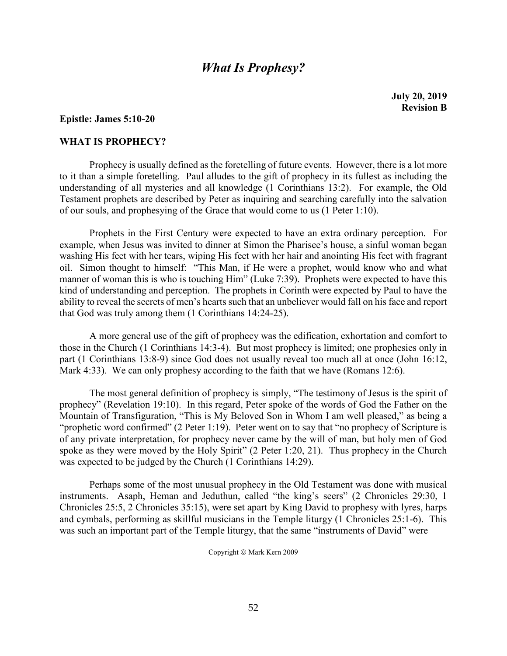## *What Is Prophesy?*

#### **Epistle: James 5:10-20**

#### **WHAT IS PROPHECY?**

Prophecy is usually defined as the foretelling of future events. However, there is a lot more to it than a simple foretelling. Paul alludes to the gift of prophecy in its fullest as including the understanding of all mysteries and all knowledge (1 Corinthians 13:2). For example, the Old Testament prophets are described by Peter as inquiring and searching carefully into the salvation of our souls, and prophesying of the Grace that would come to us (1 Peter 1:10).

Prophets in the First Century were expected to have an extra ordinary perception. For example, when Jesus was invited to dinner at Simon the Pharisee's house, a sinful woman began washing His feet with her tears, wiping His feet with her hair and anointing His feet with fragrant oil. Simon thought to himself: "This Man, if He were a prophet, would know who and what manner of woman this is who is touching Him" (Luke 7:39). Prophets were expected to have this kind of understanding and perception. The prophets in Corinth were expected by Paul to have the ability to reveal the secrets of men's hearts such that an unbeliever would fall on his face and report that God was truly among them (1 Corinthians 14:24-25).

A more general use of the gift of prophecy was the edification, exhortation and comfort to those in the Church (1 Corinthians 14:3-4). But most prophecy is limited; one prophesies only in part (1 Corinthians 13:8-9) since God does not usually reveal too much all at once (John 16:12, Mark 4:33). We can only prophesy according to the faith that we have (Romans 12:6).

The most general definition of prophecy is simply, "The testimony of Jesus is the spirit of prophecy" (Revelation 19:10). In this regard, Peter spoke of the words of God the Father on the Mountain of Transfiguration, "This is My Beloved Son in Whom I am well pleased," as being a "prophetic word confirmed" (2 Peter 1:19). Peter went on to say that "no prophecy of Scripture is of any private interpretation, for prophecy never came by the will of man, but holy men of God spoke as they were moved by the Holy Spirit" (2 Peter 1:20, 21). Thus prophecy in the Church was expected to be judged by the Church (1 Corinthians 14:29).

Perhaps some of the most unusual prophecy in the Old Testament was done with musical instruments. Asaph, Heman and Jeduthun, called "the king's seers" (2 Chronicles 29:30, 1 Chronicles 25:5, 2 Chronicles 35:15), were set apart by King David to prophesy with lyres, harps and cymbals, performing as skillful musicians in the Temple liturgy (1 Chronicles 25:1-6). This was such an important part of the Temple liturgy, that the same "instruments of David" were

Copyright © Mark Kern 2009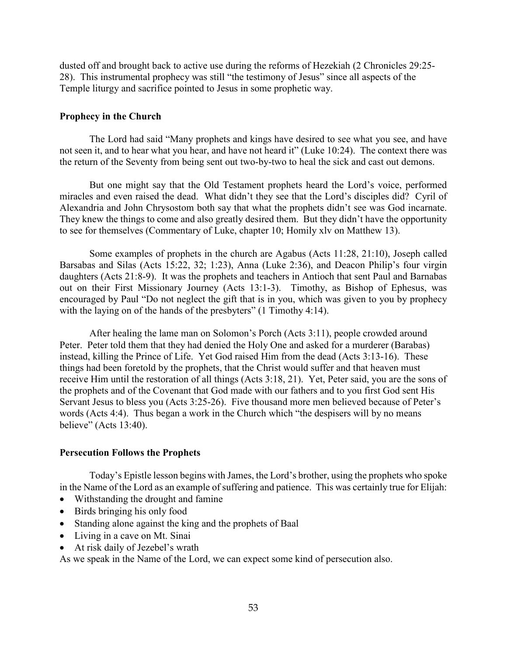dusted off and brought back to active use during the reforms of Hezekiah (2 Chronicles 29:25- 28). This instrumental prophecy was still "the testimony of Jesus" since all aspects of the Temple liturgy and sacrifice pointed to Jesus in some prophetic way.

#### **Prophecy in the Church**

The Lord had said "Many prophets and kings have desired to see what you see, and have not seen it, and to hear what you hear, and have not heard it" (Luke 10:24). The context there was the return of the Seventy from being sent out two-by-two to heal the sick and cast out demons.

But one might say that the Old Testament prophets heard the Lord's voice, performed miracles and even raised the dead. What didn't they see that the Lord's disciples did? Cyril of Alexandria and John Chrysostom both say that what the prophets didn't see was God incarnate. They knew the things to come and also greatly desired them. But they didn't have the opportunity to see for themselves (Commentary of Luke, chapter 10; Homily xlv on Matthew 13).

Some examples of prophets in the church are Agabus (Acts 11:28, 21:10), Joseph called Barsabas and Silas (Acts 15:22, 32; 1:23), Anna (Luke 2:36), and Deacon Philip's four virgin daughters (Acts 21:8-9). It was the prophets and teachers in Antioch that sent Paul and Barnabas out on their First Missionary Journey (Acts 13:1-3). Timothy, as Bishop of Ephesus, was encouraged by Paul "Do not neglect the gift that is in you, which was given to you by prophecy with the laying on of the hands of the presbyters" (1 Timothy 4:14).

After healing the lame man on Solomon's Porch (Acts 3:11), people crowded around Peter. Peter told them that they had denied the Holy One and asked for a murderer (Barabas) instead, killing the Prince of Life. Yet God raised Him from the dead (Acts 3:13-16). These things had been foretold by the prophets, that the Christ would suffer and that heaven must receive Him until the restoration of all things (Acts 3:18, 21). Yet, Peter said, you are the sons of the prophets and of the Covenant that God made with our fathers and to you first God sent His Servant Jesus to bless you (Acts 3:25-26). Five thousand more men believed because of Peter's words (Acts 4:4). Thus began a work in the Church which "the despisers will by no means believe" (Acts 13:40).

#### **Persecution Follows the Prophets**

Today's Epistle lesson begins with James, the Lord's brother, using the prophets who spoke in the Name of the Lord as an example of suffering and patience. This was certainly true for Elijah:

- Withstanding the drought and famine
- Birds bringing his only food
- Standing alone against the king and the prophets of Baal
- Living in a cave on Mt. Sinai
- At risk daily of Jezebel's wrath

As we speak in the Name of the Lord, we can expect some kind of persecution also.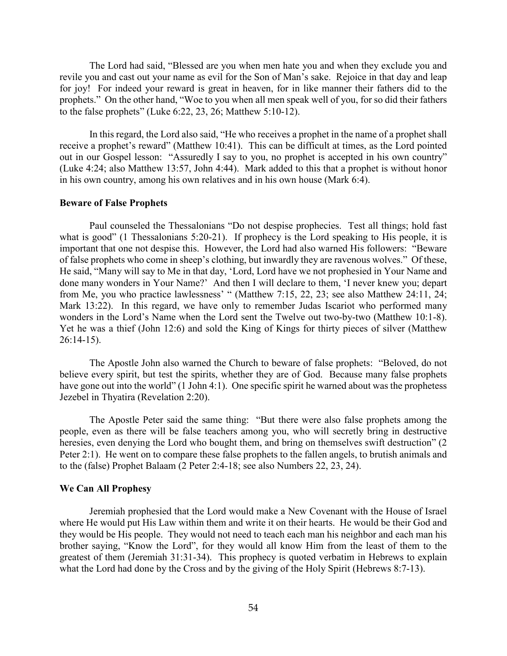The Lord had said, "Blessed are you when men hate you and when they exclude you and revile you and cast out your name as evil for the Son of Man's sake. Rejoice in that day and leap for joy! For indeed your reward is great in heaven, for in like manner their fathers did to the prophets." On the other hand, "Woe to you when all men speak well of you, for so did their fathers to the false prophets" (Luke 6:22, 23, 26; Matthew 5:10-12).

In this regard, the Lord also said, "He who receives a prophet in the name of a prophet shall receive a prophet's reward" (Matthew 10:41). This can be difficult at times, as the Lord pointed out in our Gospel lesson: "Assuredly I say to you, no prophet is accepted in his own country" (Luke 4:24; also Matthew 13:57, John 4:44). Mark added to this that a prophet is without honor in his own country, among his own relatives and in his own house (Mark 6:4).

#### **Beware of False Prophets**

Paul counseled the Thessalonians "Do not despise prophecies. Test all things; hold fast what is good" (1 Thessalonians 5:20-21). If prophecy is the Lord speaking to His people, it is important that one not despise this. However, the Lord had also warned His followers: "Beware of false prophets who come in sheep's clothing, but inwardly they are ravenous wolves." Of these, He said, "Many will say to Me in that day, 'Lord, Lord have we not prophesied in Your Name and done many wonders in Your Name?' And then I will declare to them, 'I never knew you; depart from Me, you who practice lawlessness' " (Matthew 7:15, 22, 23; see also Matthew 24:11, 24; Mark 13:22). In this regard, we have only to remember Judas Iscariot who performed many wonders in the Lord's Name when the Lord sent the Twelve out two-by-two (Matthew 10:1-8). Yet he was a thief (John 12:6) and sold the King of Kings for thirty pieces of silver (Matthew 26:14-15).

The Apostle John also warned the Church to beware of false prophets: "Beloved, do not believe every spirit, but test the spirits, whether they are of God. Because many false prophets have gone out into the world" (1 John 4:1). One specific spirit he warned about was the prophetess Jezebel in Thyatira (Revelation 2:20).

The Apostle Peter said the same thing: "But there were also false prophets among the people, even as there will be false teachers among you, who will secretly bring in destructive heresies, even denying the Lord who bought them, and bring on themselves swift destruction" (2) Peter 2:1). He went on to compare these false prophets to the fallen angels, to brutish animals and to the (false) Prophet Balaam (2 Peter 2:4-18; see also Numbers 22, 23, 24).

#### **We Can All Prophesy**

Jeremiah prophesied that the Lord would make a New Covenant with the House of Israel where He would put His Law within them and write it on their hearts. He would be their God and they would be His people. They would not need to teach each man his neighbor and each man his brother saying, "Know the Lord", for they would all know Him from the least of them to the greatest of them (Jeremiah 31:31-34). This prophecy is quoted verbatim in Hebrews to explain what the Lord had done by the Cross and by the giving of the Holy Spirit (Hebrews 8:7-13).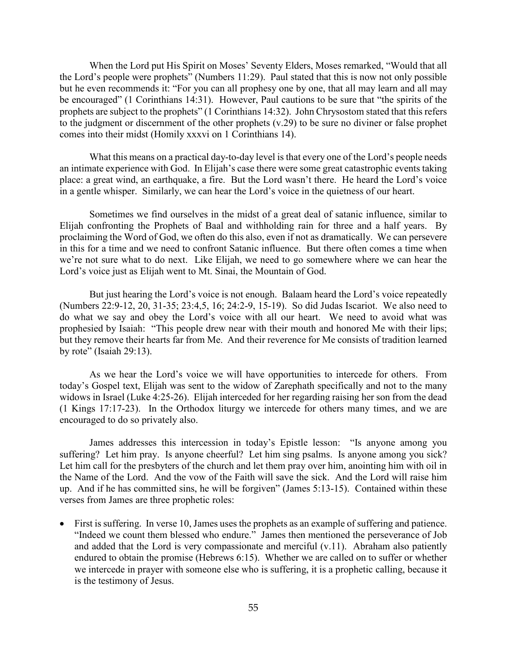When the Lord put His Spirit on Moses' Seventy Elders, Moses remarked, "Would that all the Lord's people were prophets" (Numbers 11:29). Paul stated that this is now not only possible but he even recommends it: "For you can all prophesy one by one, that all may learn and all may be encouraged" (1 Corinthians 14:31). However, Paul cautions to be sure that "the spirits of the prophets are subject to the prophets" (1 Corinthians 14:32). John Chrysostom stated that this refers to the judgment or discernment of the other prophets (v.29) to be sure no diviner or false prophet comes into their midst (Homily xxxvi on 1 Corinthians 14).

What this means on a practical day-to-day level is that every one of the Lord's people needs an intimate experience with God. In Elijah's case there were some great catastrophic events taking place: a great wind, an earthquake, a fire. But the Lord wasn't there. He heard the Lord's voice in a gentle whisper. Similarly, we can hear the Lord's voice in the quietness of our heart.

Sometimes we find ourselves in the midst of a great deal of satanic influence, similar to Elijah confronting the Prophets of Baal and withholding rain for three and a half years. By proclaiming the Word of God, we often do this also, even if not as dramatically. We can persevere in this for a time and we need to confront Satanic influence. But there often comes a time when we're not sure what to do next. Like Elijah, we need to go somewhere where we can hear the Lord's voice just as Elijah went to Mt. Sinai, the Mountain of God.

But just hearing the Lord's voice is not enough. Balaam heard the Lord's voice repeatedly (Numbers 22:9-12, 20, 31-35; 23:4,5, 16; 24:2-9, 15-19). So did Judas Iscariot. We also need to do what we say and obey the Lord's voice with all our heart. We need to avoid what was prophesied by Isaiah: "This people drew near with their mouth and honored Me with their lips; but they remove their hearts far from Me. And their reverence for Me consists of tradition learned by rote" (Isaiah 29:13).

As we hear the Lord's voice we will have opportunities to intercede for others. From today's Gospel text, Elijah was sent to the widow of Zarephath specifically and not to the many widows in Israel (Luke 4:25-26). Elijah interceded for her regarding raising her son from the dead (1 Kings 17:17-23). In the Orthodox liturgy we intercede for others many times, and we are encouraged to do so privately also.

James addresses this intercession in today's Epistle lesson: "Is anyone among you suffering? Let him pray. Is anyone cheerful? Let him sing psalms. Is anyone among you sick? Let him call for the presbyters of the church and let them pray over him, anointing him with oil in the Name of the Lord. And the vow of the Faith will save the sick. And the Lord will raise him up. And if he has committed sins, he will be forgiven" (James 5:13-15). Contained within these verses from James are three prophetic roles:

First is suffering. In verse 10, James uses the prophets as an example of suffering and patience. "Indeed we count them blessed who endure." James then mentioned the perseverance of Job and added that the Lord is very compassionate and merciful (v.11). Abraham also patiently endured to obtain the promise (Hebrews 6:15). Whether we are called on to suffer or whether we intercede in prayer with someone else who is suffering, it is a prophetic calling, because it is the testimony of Jesus.